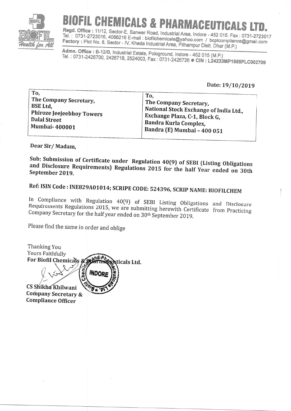

## **CHEMICALS & PHARMACEUTICALS**

Regd. Office: 11/12, Sector-E, Sanwer Road, Industrial Area, Indore - 452 015. Fax: 0731-2723017 Tel.: 0731-2723016, 4066216 E-mail: biofilchemicals@yahoo.com / bcplcompliance@gmail.com Factory: Plot No. 8, Sector - IV, Kheda Industrial Area, Pithampur Distt. Dhar (M.P.)

Admn. Office: B-12/B, Industrial Estate, Pologround, Indore - 452 015 (M.P.) Tel.: 0731-2426700, 2426718, 2524003, Fax: 0731-2426726 CIN: L24233MP1985PLC002709

Date: 19/10/2019

| To.                       | To,                                    |
|---------------------------|----------------------------------------|
| The Company Secretary,    | The Company Secretary,                 |
| BSE Ltd,                  | National Stock Exchange of India Ltd., |
| Phiroze Jeejeebhoy Towers | Exchange Plaza, C-1, Block G,          |
| <b>Dalal Street</b>       | Bandra Kurla Complex,                  |
| <b>Mumbai-400001</b>      | Bandra (E) Mumbai - 400 051            |

Dear Sir/Madam.

Sub: Submission of Certificate under Regulation 40(9) of SEBI (Listing Obligations and Disclosure Requirements) Regulations 2015 for the half Year ended on 30th September 2019.

Ref: ISIN Code: INE829A01014; SCRIPE CODE: 524396, SCRIP NAME: BIOFILCHEM

In Compliance with Regulation 40(9) of SEBI Listing Obligations and Disclosure Requirements Regulations 2015, we are submitting herewith Certificate from Practicing Company Secretary for the half year ended on 30<sup>th</sup> September 2019.

Please find the same in order and oblige

Thanking You Yours Faithfully net For Biofil Chemicals & **Aticals Ltd.** hem **INDOR** CS Shikha Khilwani Company Secretary & **Compliance Officer**